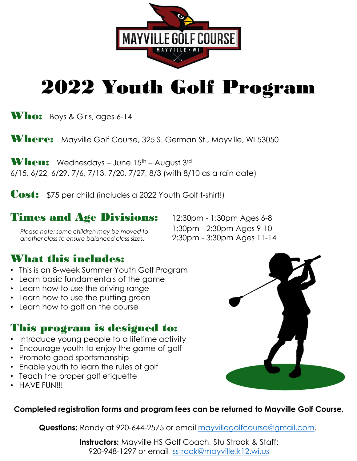

# **2022 Youth Golf Program**<br>
Who: Boys & Girls, ages 6-14<br>
Where: Mayville Golf Course, 325 S. German St., Mayville, WI 53050<br>
When: Wednesdays – June 15<sup>th</sup> – August 3<sup>-d</sup><br>
6/15, 6/22, 6/29, 7/6, 7/13, 7/20, 7/27, 8/3 (wit 2022 Youth Golf Program

Who: Boys & Girls, ages 6-14

Where: Mayville Golf Course, 325 S. German St., Mayville, WI 53050

Cost: \$75 per child (includes a 2022 Youth Golf t-shirt!)

Please note: some children may be moved to  $1:30 \text{pm}$  -  $2:30 \text{pm}$  Ages 9-10<br>another class to ensure balanced class sizes.  $2:30 \text{pm}$  -  $3:30 \text{pm}$  Ages 11-14 another class to ensure balanced class sizes.

## What this includes:

- This is an 8-week Summer Youth Golf Program
- 
- Learn how to use the driving range
- Learn how to use the putting green
- Learn how to golf on the course

### This program is designed to:

- Introduce young people to a lifetime activity
- Encourage youth to enjoy the game of golf
- Promote good sportsmanship
- Enable youth to learn the rules of golf
- Teach the proper golf etiquette
- HAVE FUN!!!



### Completed registration forms and program fees can be returned to Mayville Golf Course.

Questions: Randy at 920-644-2575 or email mayvillegolfcourse@gmail.com.

**Instructors:** Mayville HS Golf Coach, Stu Strook & Staff: 920-948-1297 or email sstrook@mayville.k12.wi.us